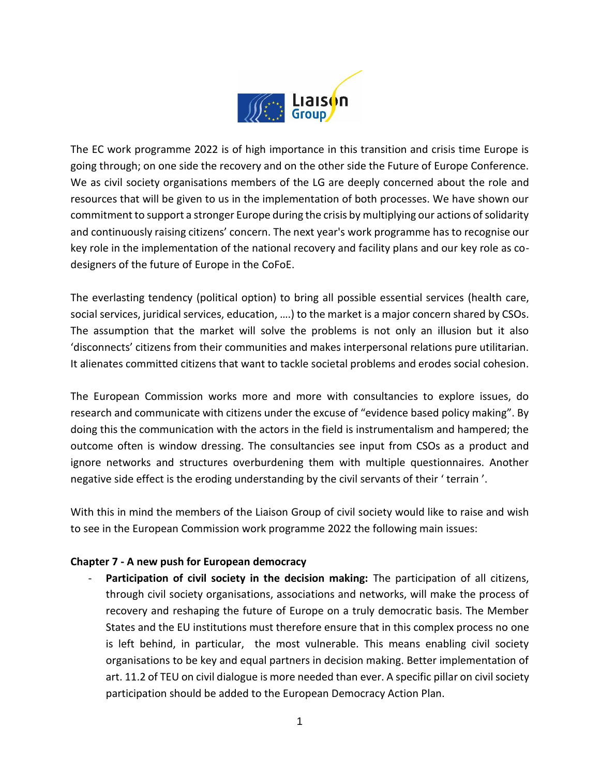

The EC work programme 2022 is of high importance in this transition and crisis time Europe is going through; on one side the recovery and on the other side the Future of Europe Conference. We as civil society organisations members of the LG are deeply concerned about the role and resources that will be given to us in the implementation of both processes. We have shown our commitment to support a stronger Europe during the crisis by multiplying our actions of solidarity and continuously raising citizens' concern. The next year's work programme has to recognise our key role in the implementation of the national recovery and facility plans and our key role as codesigners of the future of Europe in the CoFoE.

The everlasting tendency (political option) to bring all possible essential services (health care, social services, juridical services, education, ….) to the market is a major concern shared by CSOs. The assumption that the market will solve the problems is not only an illusion but it also 'disconnects' citizens from their communities and makes interpersonal relations pure utilitarian. It alienates committed citizens that want to tackle societal problems and erodes social cohesion.

The European Commission works more and more with consultancies to explore issues, do research and communicate with citizens under the excuse of "evidence based policy making". By doing this the communication with the actors in the field is instrumentalism and hampered; the outcome often is window dressing. The consultancies see input from CSOs as a product and ignore networks and structures overburdening them with multiple questionnaires. Another negative side effect is the eroding understanding by the civil servants of their ' terrain '.

With this in mind the members of the Liaison Group of civil society would like to raise and wish to see in the European Commission work programme 2022 the following main issues:

## **Chapter 7 - A new push for European democracy**

**Participation of civil society in the decision making:** The participation of all citizens, through civil society organisations, associations and networks, will make the process of recovery and reshaping the future of Europe on a truly democratic basis. The Member States and the EU institutions must therefore ensure that in this complex process no one is left behind, in particular, the most vulnerable. This means enabling civil society organisations to be key and equal partners in decision making. Better implementation of art. 11.2 of TEU on civil dialogue is more needed than ever. A specific pillar on civil society participation should be added to the European Democracy Action Plan.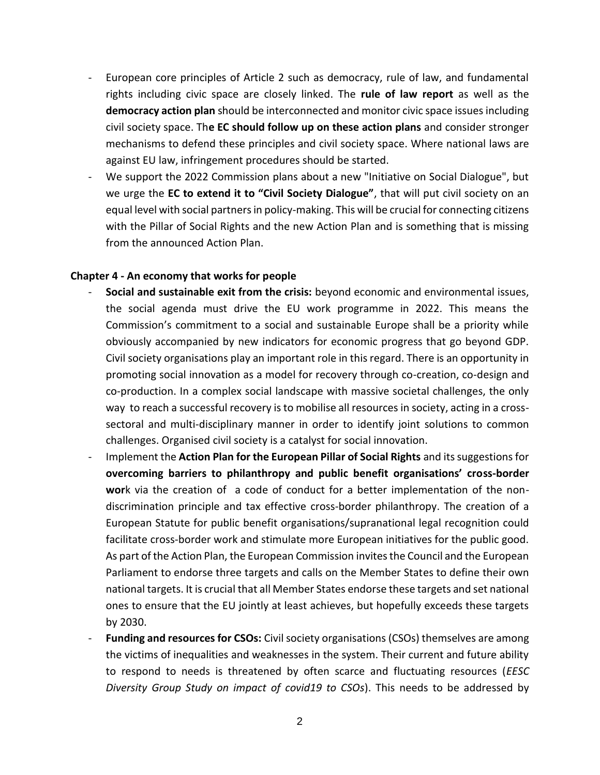- European core principles of Article 2 such as democracy, rule of law, and fundamental rights including civic space are closely linked. The **rule of law report** as well as the **democracy action plan** should be interconnected and monitor civic space issues including civil society space. Th**e EC should follow up on these action plans** and consider stronger mechanisms to defend these principles and civil society space. Where national laws are against EU law, infringement procedures should be started.
- We support the 2022 Commission plans about a new "Initiative on Social Dialogue", but we urge the **EC to extend it to "Civil Society Dialogue"**, that will put civil society on an equal level with social partners in policy-making. This will be crucial for connecting citizens with the Pillar of Social Rights and the new Action Plan and is something that is missing from the announced Action Plan.

## **Chapter 4 - An economy that works for people**

- **Social and sustainable exit from the crisis:** beyond economic and environmental issues, the social agenda must drive the EU work programme in 2022. This means the Commission's commitment to a social and sustainable Europe shall be a priority while obviously accompanied by new indicators for economic progress that go beyond GDP. Civil society organisations play an important role in this regard. There is an opportunity in promoting social innovation as a model for recovery through co-creation, co-design and co-production. In a complex social landscape with massive societal challenges, the only way to reach a successful recovery is to mobilise all resources in society, acting in a crosssectoral and multi-disciplinary manner in order to identify joint solutions to common challenges. Organised civil society is a catalyst for social innovation.
- Implement the **Action Plan for the European Pillar of Social Rights** and its suggestions for **overcoming barriers to philanthropy and public benefit organisations' cross-border wor**k via the creation of a code of conduct for a better implementation of the nondiscrimination principle and tax effective cross-border philanthropy. The creation of a European Statute for public benefit organisations/supranational legal recognition could facilitate cross-border work and stimulate more European initiatives for the public good. As part of the Action Plan, the European Commission invites the Council and the European Parliament to endorse three targets and calls on the Member States to define their own national targets. It is crucial that all Member States endorse these targets and set national ones to ensure that the EU jointly at least achieves, but hopefully exceeds these targets by 2030.
- **Funding and resources for CSOs:** Civil society organisations (CSOs) themselves are among the victims of inequalities and weaknesses in the system. Their current and future ability to respond to needs is threatened by often scarce and fluctuating resources (*EESC Diversity Group Study on impact of covid19 to CSOs*). This needs to be addressed by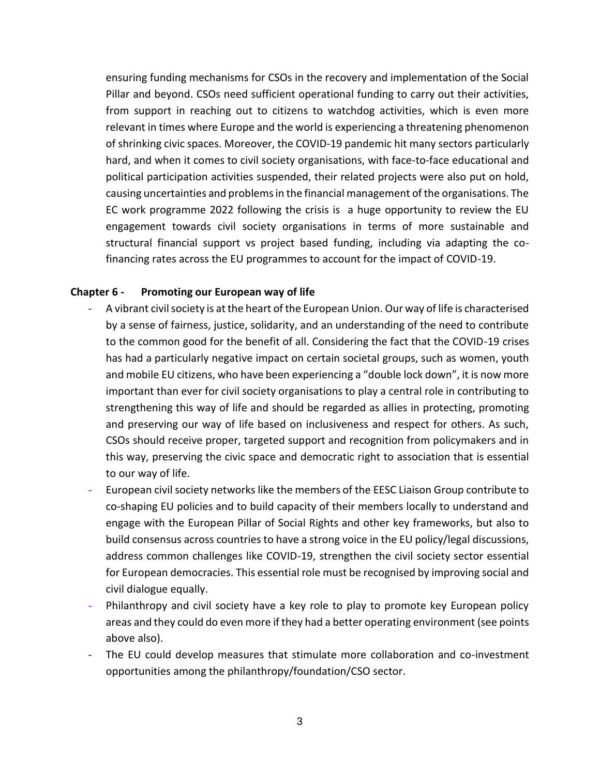ensuring funding mechanisms for CSOs in the recovery and implementation of the Social Pillar and beyond. CSOs need sufficient operational funding to carry out their activities, from support in reaching out to citizens to watchdog activities, which is even more relevant in times where Europe and the world is experiencing a threatening phenomenon of shrinking civic spaces. Moreover, the COVID-19 pandemic hit many sectors particularly hard, and when it comes to civil society organisations, with face-to-face educational and political participation activities suspended, their related projects were also put on hold, causing uncertainties and problems in the financial management of the organisations. The EC work programme 2022 following the crisis is a huge opportunity to review the EU engagement towards civil society organisations in terms of more sustainable and structural financial support vs project based funding, including via adapting the cofinancing rates across the EU programmes to account for the impact of COVID-19.

## **Chapter 6 - Promoting our European way of life**

- A vibrant civil society is at the heart of the European Union. Our way of life is characterised by a sense of fairness, justice, solidarity, and an understanding of the need to contribute to the common good for the benefit of all. Considering the fact that the COVID-19 crises has had a particularly negative impact on certain societal groups, such as women, youth and mobile EU citizens, who have been experiencing a "double lock down", it is now more important than ever for civil society organisations to play a central role in contributing to strengthening this way of life and should be regarded as allies in protecting, promoting and preserving our way of life based on inclusiveness and respect for others. As such, CSOs should receive proper, targeted support and recognition from policymakers and in this way, preserving the civic space and democratic right to association that is essential to our way of life.
- European civil society networks like the members of the EESC Liaison Group contribute to co-shaping EU policies and to build capacity of their members locally to understand and engage with the European Pillar of Social Rights and other key frameworks, but also to build consensus across countries to have a strong voice in the EU policy/legal discussions, address common challenges like COVID-19, strengthen the civil society sector essential for European democracies. This essential role must be recognised by improving social and civil dialogue equally.
- Philanthropy and civil society have a key role to play to promote key European policy areas and they could do even more if they had a better operating environment (see points above also).
- The EU could develop measures that stimulate more collaboration and co-investment opportunities among the philanthropy/foundation/CSO sector.